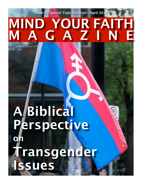**Issue 9 | Special Topics Edition | April 2018**

# **MIND YOUR FAIT MAGAZINE**

# **A Biblical Perspective on Transgender Issues**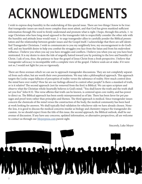# **ACKNOWLEDGMENTS**

I wish to express deep humility in the undertaking of this special issue. There are two things I know to be true: that transgender issues are much more complex than most admit, and that God has given mankind sufficient information through His word to firmly understand and promote what is right. I hope, through this article, 1- to urge Christians who have long stood opposed to the transgender tide to respectfully consider the other side with the humility and attitude Jesus would want. 2- to urge transgender allies to carefully ponder the Biblical presentation and the relationship between gender issues and the Gospel itself. I acknowledge that there are self-identified Transgender Christians. I wish to communicate to you my neighborly love, my encouragement to do God's will, and my heartfelt desire to help you combat the struggles you face from the Satan and from his malevolent influence. I believe you when you say you have struggles and conflicts. I believe you when you say you have been mistreated. It is my desire to stem the tide of ungodly hatred toward you by pointing to the love and humility of Christ. I ask of you, then, the patience to hear the gospel of Jesus Christ from a fresh perspective. I believe that transgender advocacy is incompatible with a complete view of the gospel. I believe souls are at stake. If it were not so, I would not fight for you so vigorously.

There are three avenues which we can use to approach transgender discussions. They are not completely separated from each other, but are worth their own presentations. We may take a philosophical approach. This approach targets the Locke-esque fallacies of perception of reality verses the substance of reality. How much control does the mind have over reality? How far are our feelings allowed to control other people? Is there a standard of truth, or is it relative? The second approach (not far removed from the first) is Biblical. We can open scripture and observe what the Christian whole-heartedly believes is God's mind. "You shall know the truth and the truth shall set you free" John 8:32. This verse affirms that truth can be known, is centered upon core reality, and has power to direct us. The Biblical approach has been sorely misrepresented as of late. There has been favor for pet passages and proof-texts rather than principles and themes. The third approach is medical. Since transgender issues concern the chemicals of the mind verses the construction of the body, the medical community has been hard at work looking for answers. We shall typically find validation for whichever side we have already chosen. Nonethe-less, it is good to discuss the medical concerns insofar as biology and chemistry impact the transgender discussion. As we should expect from the title of this issue, the second approach, the Biblical outlook, shall be our avenue of discussion. If any have any concerns, updated information, or alternative perspectives, all are welcome to contact us through our **Moyerpress.com** parent sight.

Sincerely, Luke Moyer

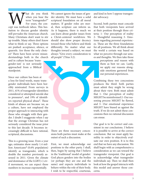What do you think<br>
term "transgender?"<br>
For years, the con-<br>
cept was textbook taboo. This heswhen you hear the term "transgender?" For years, the conitation to discuss gender identity still pervades the American church. Many Christians don't want to stir up trouble. Many others don't know what to think or say. Three options are pushed: acceptance, silence, or quarrels. Are those the only choices? There have been severe misunderstandings both in the church and in culture because 'trans-

gender-ism' is not seriously approached from a Biblical standpoint.

Since our culture has been at a loss for kind words, many transgender individuals have been horribly mistreated. From surveys in 2011, 41% of transgender identifiers considered or attempted suicide due to pressures<sup>1</sup>, and 19% of identifiers reported physical abuse2. These kinds of abuses are because we, as a culture, have not employed the proper approach to interacting with those who struggle with their gender. I doubt I exaggerate when I say that the average Christian has not seriously considered the issue prior to this last decade. It becomes increasingly difficult to have rational, scriptural, discussions.

This is a growing issue. Even a year ago, estimates show nearly 1.4 million Americans3 (0.6% population) identify as transgender, which is double the number previously assessed in 2011. Given the climate and dominance of the LGBT(+) civil movement, we can expect these numbers to increase exponentially.

We cannot ignore the issues of gender identity. We must have a solid scriptural foundation on all moral matters. If gender roles are moral, then scripture can inform us. As it happens, there is much we can learn about gender issues from a Christ-centered worldview. We should also show proper decency toward those who believe and think differently. No matter what our thoughts toward a subject, we must always "Give every consideration to all people" (Titus 3:2).



There are three necessary concessions both parties must make at the outset of such a discussion.

First, we must acknowledge our positions to the other party. I shall, then, begin by saying that I believe in the 'traditional' model of gender: God places genders into the bodies (or perhaps they are one and the same) and expects individuals to behave within the role of their body. I wish to be respectful, courteous, and kind in how I oppose transgender advocacy.

Second, both parties must concede that both viewpoints have arrived at their position through three criteria: 1- Our perception of reality 2- Thoughtful reasoning 3- Emotions regarding personal experiences. These are the three foundations for all positions. We all think about the world a certain way based on what we perceive through our senses and thoughts. We then take those

> perceptions and reason with them as best we can. Lastly, we apply our reasons alongside emotions garnered from our personal experiences.

Combining these two concessions produces the third: both parties must admit they might be wrong about their view. Both must admit that 1- Our perception of reality MIGHT be misinformed 2- Our reasoning process MIGHT be flawed, and 3- Our emotional experience MIGHT have biased us against the truth. If we do not admit these concessions then no rational discussion can ensue.

Our goal is to be correct and consistent in our conclusions. I believe it is possible to arrive at the correct conclusion. But we must apply humility in order to objectively evaluate our own position. It is to this end that we have any discussion. We shall begin with as comprehensive a consideration as we can toward the transgender viewpoint. Our goal is to acknowledge what transgender individuals say. Then we shall then look at how the gospel interacts with this model and answer those concerns.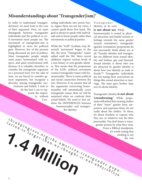### **Misunderstandings about 'Transgender[ism]'**

In order to understand 'transgender[ism]', we must look to the core of their argument. First, we must distinguish between transgender individuals and the political or civil movement most people see. The movement of transgender-ism is highlighted in news for political gain. However, few of the persons being discussed are part of politics. Most transgender people simply want peace harmonized with respect, and quiet synchronized with fairness. It is valuable, therefore, to consider the transgender argument on a personal level. For the sake of time, we are forced to consider generic arguments, but recognize a diversity among transgender motivations and beliefs. I seek to do the best I can to represent the majority, without fun -

neling individuals into preset boxes. Again, these are not my views. I cannot speak them first hand. The goal is always to speak with individuals and to know people rather than movements or political parties.

While the "LGB" (Lesbian, Gay, Bisexual) 'movement' began in the 80s, the term "Transgender" wasn't added until the 90s. More recent additions express various levels of a non-binary or non-gender identity. This means that the proponents of the LGB+ political movement connect transgender issues with homosexuality. There is some political and social connection between the two. However, if we assume that all the arguments concerning homosexuality will automatically cover transgender issues, then we will be surprised when we confront their actual beliefs. We need to first address the DIFFERENCES between homosexuality and transgender identity:

Tr a n s g e n d e r identity, at its core, **is not about sex**. While homosexuality is rooted in physical attraction and lustful actions or feelings towards the same gender (sexual orientation), transgender (gender orientation) proponents do not necessarily think about sex at all. "Gender identity and transgender are different from sexual identity and lesbian, gay and bisexual. Sexual identity is about who you are attracted to; gender identity is about how you identify as male or female."4 Transgender individuals are not basing their convictions on things like sexual attraction or marriage. The issue goes further than sex; it's about identity.

Transgender identity **is not about 'crossdressing.'** While proponents still admit that wearing clothes of their "inner" gender frees, empowers, and expresses them, it's not really about the clothes. To them, it's about freedom to express who they are, in whatever way fits their personality. You don't know a transgender person by what they wear. From a Biblical standpoint, it's worth noting that **1.**  $\sum_{i} \sum_{j}^{n} \sum_{j}^{s} \sum_{j}^{o} \sum_{j}^{e} \sum_{i}^{e} \sum_{j}^{e} \sum_{i}^{e} \sum_{j}^{e} \sum_{j}^{e} \sum_{j}^{e} \sum_{j}^{e} \sum_{j}^{e} \sum_{j}^{e} \sum_{j}^{e} \sum_{j}^{e} \sum_{j}^{e} \sum_{j}^{e} \sum_{j}^{e} \sum_{j}^{e} \sum_{j}^{e} \sum_{j}^{e} \sum_{j}^{e} \sum_{j}^{e} \sum_{j}^{e} \sum_{j}^{e} \sum_{j}^{e} \sum$ the rate of  $\begin{pmatrix}\n t_{hj} & t_{hj} & t_{hj} & t_{hj} \\
 t_{i0} & t_{i0} & t_{i0} & t_{i0} \\
 t_{i0} & t_{i0} & t_{i0} & t_{i0} \\
 t_{i0} & t_{i0} & t_{i0} & t_{i0} \\
 t_{i0} & t_{i0} & t_{i0} & t_{i0} \\
 t_{i0} & t_{i0} & t_{i0} & t_{i0} \\
 t_{i0} & t_{i0} & t_{i0} & t_{i0} \\
 t_{i0} & t_{i0} & t_{i0} & t_{i0} \\
 t_{i0} & t_{i$  $\begin{array}{l} \begin{array}{l} \begin{array}{l} \text{the probability number of groups} \\ \text{green by the graph.} \end{array} \end{array} \end{array}$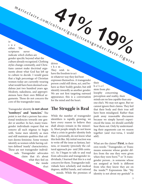is-

s u e either. The scriptures never indicate *which* clothes are gender specific beyond what the culture already recognized. Clothing styles change constantly, and Christians cannot make doctrinal arguments about what God has left up to culture to decide. I would guess that a high percentage of Christian women today are currently wearing what would have been deemed scandalous just two hundred years ago. Modesty, nakedness, and appropriateness have their own Biblical arguments. Those do not concern the core of the transgender issue.  $\frac{m_{a_{r_{i}}}}{m_{a_{r_{i}}}}$  (*a*<sub>ire.com/cu<sub>lture</sub>/g<sub>3065/transgender-facts-figures</sub>)</sub>

Transgender identity **is not about 'tomboys' and 'nancies.'** The point is not that a person has emotional tendencies towards one gender or another. In fact, many transgender individuals request that we remove all such stigmas to begin with. Some men identify as men and still maintain qualities that culture deems feminine. Some women identify as women while having culture defined 'manly' characteristics. These are not transgender individuals. Transgender advocates claim that it's about

what they feel on the inside that

drives t h e m . They wish to have the freedom to act in whatever way they feel best expresses themselves. A transgender person could still dress, act, and behave as their bodily gender, but still identify inwardly as another gender. We are not first targeting outward appearance; this is a conversation for the mind and the heart.

### **The Struggle is Real**

While the number of transgender identifiers is rapidly growing, we have every reason to believe they shall always remain in the minority. Most people simply do not know what a crisis in gender identity feels like. I, personally, do not know what this feels like. My initial reaction was to write off the issue as fantasy, laziness, or insanity (precisely the cultural approach pre- mid 20th century). As I began to talk to and read from advocates and transgender individuals, I learned that this is a real concern for them. Transgender individuals have scholarly and medical degrees, skillful hands, and rational minds. While the premises of their b e l i e f stem from philosophy concerning perception and reality, their minds are no less capable than anyone else's. We may not agree. But we cannot ignore their claims. They feel that their body and their true self have been misaligned. Rather than push away reasonable discussion because we simply haven't experienced the issue, we should carefully hear them out. Only by understanding their arguments can we reason together (and vice-versa, I would add).

What are the claims? **First**, in their own words: "Transgender, or Trans: means someone whose gender differs from the one they were given when they were born."<sup>5</sup> or "A transgender person…is someone whose sex assigned at birth is different from who they know they are on the inside."6 Expressions like "My identity is not about my genitals" is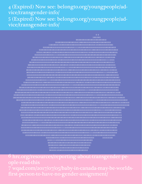## 4 (Expired) Now see: belongto.org/youngpeople/advice/transgender-info/ 5 (Expired) Now see: belongto.org/youngpeople/advice/transgender-info/

0 0 101010100 

6 hrc.org/resources/reporting-about-transgender-pe-0ple-read-this 7 wqad.com/2017/07/05/baby-in-canada-may-be-worldsfirst-person-to-have-no-gender-assignment/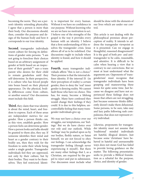becoming the norm. They see a person's identity extending physicality. I agree that a person is more than their body. Our discussions should, then, consider the purpose and design of the human body and how it corresponds to our true identity.

**Second**, transgender individuals resent culture for forcing its definitions of gender onto persons. "I am not going to foreclose their choices based on an arbitrary assignment of gender at birth based on an inspection of their genitals"7 says a trans parent who desires for their child to remain genderless until they self-determine. In their perspective, it is culture who has forced people into boxes based on their physical appearance. Do the physical, bodily, differences come from culture, or another source? Our discussions must include this field.

**Third**, they claim that true identity is about the mind, heart, and freedom to express. Each of these areas are independent metrics for our gender. How a person thinks can, in this view, establish gender. How a person feels can determine gender. How a person looks and talks should be granted to them also, they say. If someone identifies their mind and heart as a gender contrary to their bodily sex, then they wish for the freedom to unite their whole being under a single gender. Transgender individuals feel they are oppressed, not only by their culture, but by their bodies. They want to be themselves. They feel restricted. Identi-

ty is important for every human. Without it we have no confidence in our purpose. Without knowing who we are we have no motivation to act. I believe one of the strengths of the gospel is the way it provides every human with an identity. I believe that a firm understanding of this resolves the transgender crisis. Jesus allows all of us to be redefined. Our discussions ought to include where identity is found, and how it should be applied.

**Fourth**, many transgender individuals affirm "this is not a choice." Their premise is that the internal defines identity. If the internal IS (in their perception of reality) a certain gender, then to deny the 'real' inner gender is denying reality. We cannot fault those who have no choice. This has, for many, become a lifelong struggle. Many have confessed they would change their feelings if they could. It is due to this helpless, uncontrollable feeling that many transgender individuals give up.

We may not have a choice over our struggles, our temptations, our 'feelings.' But we do have choice over our role and our outlook. While 'feelings' may be pushed upon us by our bodies, fleshly nature, or Satan himself, we are not forced to obey our feelings. I can acknowledge the transgender feeling (though never experiencing it myself). But there are many other feelings that I, as a Christian, am required by the gospel to reject and put in submission. Our discussion must include what should be done with the elements of our lives which are under our control.

This article is not dealing with the philosophical premises about perception of reality. It intends to address the transgender viewpoint as it is presented. Can we engage in thoughtful, reasoned disagreement? It is the goal of both pro- and antitransgender to be calm, reasonable, and attentive. It is difficult to be calm when hearing a view that is contrary to our convictions. But we must at least understand what the arguments are. Opponents of 'transgenderism' must recognize that transgender individuals have been grasping and maneuvering these issues for quite some time. Just because we disagree and have not experienced these feelings does not mean that others are not struggling. Just because someone thinks differently doesn't make them delusional. Some persons, to be sure, take easy and lazy paths following rash compulsions; that does not represent every individual.

Likewise, proponents for transgender identity must not assume that 'traditional' minded individuals are hateful, illogical deniers. Just because some 'christians' have behaved in hateful and unreasonable ways does not mean God has failed to provide loving guidance on the matter. The following presentation seeks to provide a Biblical foundation as a rebuttal for the purpose, choice, and identity of gender.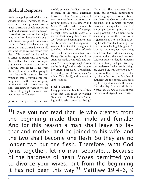## **Biblical Response**

With the rapid growth of the transgender political movement, social awareness, and personal acceptance, Christians should not put up walls and barriers based on personal comfort. Just because the subject may be awkward or taboo, we ought not decline scriptural discussions about it. Doing so alienates many from the truth. Instead, we should go to the scriptures and reason from them. "Reasoning" implies taking a series of statements, supporting them with evidence, and forming an argument to support a conclusion. Studying transgender issues from the scriptures is more than going to your favorite Bible search bar and typing in "trans". We will come woefully short. Neither can we group transgender with homosexuality and effeminacy. So what do we do? Lets start by going to the author and master teacher Himself.

Jesus, as the perfect teacher and

model, provides brilliant answers to many of the moral dilemmas thrown at Him. As our pattern, I wish to note Jesus' response concerning divorce in Mathew 19 and Mark 10. When asked about divorce, Jesus had a host of passages he might have used (Malachi 2:16 not the least among them). Yet, He says "From the beginning it was not so." To Jesus, "from the beginning" was a sufficient scriptural argument to define the human ethics of male and female purpose and interaction. He says "from the beginning of creation He made them Male and Female." To Jesus, this principle, "from the beginning" is the basis for gender origin, purpose (1 Corinthians 11), bodily use (1 Corinthians 6), role (1 Timothy 2), and interaction (Ephesians 5).

#### **God is Creator.**

Every person who is a 'believer' believes that God made everything (Genesis 1:1). Without Him, "nothing which exists came into being."

(John 1:3). This may seem like a given, but is vitally important to both the gospel and to our discussion here. As Creator of this vast, dazzling, and complex universe, there are a few qualities about God we simply cannot ignore. 1- God is all powerful. If God wants to do something He has the power to do it (Jeremiah 32:27). Nothing is going to hold God back or stop Him from accomplishing His goals. 2- God is the Designer. Everything which God has made serves a very specific and well-balanced purpose. Without perfect order, this universe would instantly collapse. We may not understand why certain things are created the way they are, but we can know that if God has created it, it has a function. 3- God has all authority. As the potter, God has a right to expect whatever He desires from the clay. It is not within our right, as creation, to dictate our own purpose or design (Romans 9:20).

"Have you not read that He who created from the beginning made them male and female? And for this reason a man shall leave his father and mother and be joined to his wife, and the two shall become one flesh. So they are no longer two but one flesh. Therefore, what God joins together, let no man separate.... Because of the hardness of heart Moses permitted you to divorce your wives, but from the beginning it has not been this way." Matthew  $19:4-6$ , 9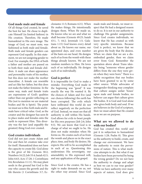#### **God made male and female**

Of all things God created, he saved the best for last. He chose to duplicate Himself (in limited fashion) in His creation. Therefore, He made humankind in His own image. The image of God, we must note, was fashioned as both male and female. Both male and female genders can represent God equally. In this statement, we are not assigning gender to God. For example, the DNA of both a father and mother are passed on to both their male and female children. A male can share appearance and personality traits of his mother, but this does not make the mother masculine. A female can resemble and act like her father, but this does not make the father feminine. In the same way, male and female traits are expressions of God's qualities rather than our gender reflecting on His (not to mention we are material bodies and He is Spirit). The point we must see is this: both male and female have critical value. God, as the creator and the designer has seen fit to place males and females onto the earth to represent Him. This diversity was the last (and arguably the greatest) thing God ever created.

#### **God creates individuals**

God did not just create Adam and Eve and then let creation take over for itself. Humankind does not have the capacity to create life. God alone is the giver of life (Genesis 30:2; Numbers 16:22; Job 33:4; Isaiah 42:5; John 6:63; Acts 17:28; 1 Corinthians 8:6; Revelation 11:11). We may plant seeds in the ground but God is the one who causes the growth and the life therein (1 Corinthians 3:7; Ec-

clesiastes 11:5; Romans 4:21). When He makes things, He intentionally designs them. When He made us, He knows who we are and what we shall become (Genesis 49:25; Isaiah 43:1, 7; 44:2; Jeremiah 1:5; Galatians 1:15) God knows every detail about us. He knows our name, our appointed days, and even number of the hairs on our head. He designs each of us from the womb with these things already known. We are not random numbers to Him. He loves each of us individually. He designs each of us individually.

#### **God is perfect**

It is impossible for God to make a mistake. Everything God made in the beginning was "good." It was exactly the way He wanted it. By the choices of Adam and Eve (and our choices following) the earth has been corrupted. The evils which have infiltrated this world do not reflect negatively on the perfection of God. Instead, we must see that all authority is still within His hands. God allows for evils to beset people for His own purposes (Job 2:6; John 9:3). We can know that God is in charge of what we ought to be. He does not make mistakes when He forms us. He creates each of us from the womb and places us in the exact place, time, and body He desires. He expects His will to be accomplished in each of us. Questioning this undermines His sovereignty, our amenability to His expressed will, and any application of the gospel.

Since God is the creator, He has a right to make demands on us, not the other way around. Since God

made male and female, we must respect that He had a designed reason to do so. It is not in our authority to challenge His gender assignments. Since God creates individuals, we know that He has created us with very specific intentions. Because God is perfect, we know that we are given the body that He desires. When we claim that we are a disembodied gender, then we claim error from God. Remember the quotation above about Trans identity being "someone whose gender differs from the one they were given when they were born." There is a subtle recognition that our bodies have been granted to us by some other source. While advocates of transgender thinking may complain that culture assigns unfair 'boxes' upon male and female bodies, no believer can argue that culture gives the bodies. It is God and God alone who gives both body and soul. If we are believers in the God of scripture, then we must admit that He created us as we are on purpose.

#### **What are we allowed to do with our bodies?**

God has created this world and put it in subjection to humankind (Genesis 1:28; Psalm 8). This gives us the authority to build, create, and change our environment. We have the authority to resist the perversions of nature. This is what medicine attempts to do. But what if our bodies have been perverted by being the wrong gender? Do we not have the authority to change and adapt as best we can to our true gender? While we have authority over many aspects of nature, God does give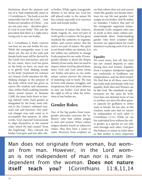limitations about the purpose and use of it. Paul emphatically states in 1 Corinthians 6- "the body is not for immorality but for the Lord… your bodies are members of Christ… you are not your own… therefore glorify God in your body." This sets the precedent that there is a right and a wrong way to use our bodies.

In 1 Corinthians 6 Paul's concern was how we use our bodies for sex. While the transgender issue is not about sex, the use of the male and female body must still be derived by the Lord's own instruction, and not by our wants. Since God has given us the body we have, we must use it to glorify God. Making mends to the body (treatment for sickness etc) honors God's intention for life. Making changes to the purpose of the body which God has given us rejects His wisdom and intentions. Also, within Paul's scathing remarks about sexual misuse in Romans 1:26ff, the issue boils down to leaving 'natural' order. Each gender, as designated by the body, must submit to the Creator's ordained (natural) role and function. Our medical changes may only assist us to accomplish that purpose. In other words, God expected homosexuals to align themselves to the natural order which He had created "from the beginning." They rejected the bodies God gave and lust after other bodies. While, again, transgender identity is not about sex, God has still placed order to the nature He has created, especially as it concerns male and female bodies.

Perversions of nature like sickness, death, tragedy, etc. were not part of God's perfect creation. He has given mankind the authority to organize, utilize, and correct nature. But the soul is not part of nature. The spirit is not found within our domain. It is not within our authority to change Gods purpose for our souls. If transgender identity is about the deeper identity of our souls, then we need to respect where God has placed them. Since God and God alone forms our bodies and gives us our souls, nature cannot pervert the process of matching soul to body. We may be born with disease, struggles, and temptations, but God alone delivers us into our bodies. God alone has the right to tell us what the intentions of our bodies are.

### **Gender Roles:**

One of the big pushes from transgender advocates concerns the 'arbitrary' rules that culture assigns to men and women. When culture assigns identity based on subjective values, then they have a point to make. However, from scripture we see that culture does not and cannot create life, gender, nor dictate intentions for our life and gender. God assigns us our bodies, and He makes no mistakes. I believe that part of the transgender argument misunderstands God's assigned roles just as sorely as they claim culture misunderstands them. Understanding gender roles from scripture shall increase our appreciation for God's intention in placing each of us as we are.

#### **Equality**

We must stress, first off, that God has not created disparity in value among men and women. Equality, from a scripture standpoint regards our conformity to Godliness, our independence, and our final reward. We find that in all three cases God has made male and female with true equality. Both Men and Women can be like God. The standards of righteousness are the same for both. God does not demand more of one or another, nor does He allow greater capacity for godliness to either male or female. He has also, in His wisdom, made sure that we cannot be independent of each other (1 Corinthians 11:11). While we can live individual lives without the other gender, as a species we can only exist through each other. God gave this balance to nature in order show us that neither is more important

Man does not originate from woman, but woman from man. However, in the Lord woman is not independent of man nor is man independent from the woman. **Does not nature itself teach you?** 1Corinthians 11:8,11,14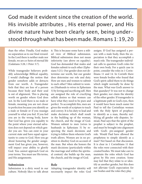# God made it evident since the creation of the world. His invisible attributes , His eternal power, and His divine nature have been clearly seen, being understood through what has been made. Romans 1:19, 20

than the other. Finally, God makes no separation as to our final reward. In the Lord there is neither male nor female, we are co-heirs of eternal life (Galatians 3:28; 1 Peter 3:7).

While transgender believers probably acknowledge Biblical equality, I would challenge the notion that gender somehow adds or detracts from our worth. A Transgender feels that they are less of a person because their body and their soul is out of alignment. This is placing worth on gender where God does not. In the Lord there is no male or female, meaning you are not closer to perfection because you identify as a male or female or if you reassign yourself to what you feel. If you feel you are in the wrong body, know that God has given you equality to the point where your eternal salvation does not depend on which gender you are. You can exist in your current state and have equal opportunity to come to God. How you go about honoring the gender assignment God has given you, however, will impact your ability to glorify God. You cannot approach God on your terms. You must use His terms, and His assignments.

#### **Submission**

Submission is a dirty word in our culture. Nobody likes to talk about it. This is because some have a stilted view of Biblical submission. Biblical submission does not mean inferiority (see above on equality). God has demanded that males and females submit to each other (Ephesians 5:21). Our gender does not determine our worth, but our gender does determine our role and duty. How are men and women to submit to each other? Men submit to women (Husbands to wives in Ephesians 5) by loving and sacrificing self. Men are assigned the role of crucifying selfish desires so that women can have what they need to be pure and perfect. To accomplish this, men are given the words of scripture to teach and convey. It is his duty to lead and make decisions which shall result in the building up of the woman, the church, and the image of God. Women submit to men (wives to husbands in Ephesians 5) by respecting the man's decisions and trying to follow them wherein God's truth allows. Women are in no position to disobey God on account of the man. But when she honors the man's decisions (particularly within the marriage and within the spiritual context) she builds up the man, the church, and the image of God.

#### **Role**

Adopting transgender identity will necessarily impact the roles God assigns. If God has assigned a person with a male body, then the expectation is that they accomplish a man's role. The transgender individual calls to question God's roles for their own body. For a quick case in point, consider the roles in 1 Corinthians 11 and 14. In Corinth there were female bodies who found that God's spirit called them to do things which might normally be done by the man. What was God's answer to that quandary? It was not to change their gender, nor claim the identity of the other gender. If transgender is a legitimate path in God's eyes, then it would have been much easier for Paul to tell the Corinthian women with the Holy Spirit of prophecy to identify as a man, thereby nullifying all gender role disputes. Instead, Paul says that the spirit of the prophet is subject to the prophet, and must be brought into alignment with God's pre-assigned gender role. Would Paul have allowed the prophetess to simply identify as a man? Not based on that discussion. It is clear in 1 Corinthians 11 that the roles were connected with their created bodies. We must take care to maintain the roles which God has given by His own creation. Some may feel that they relate to or identify as another gender, but this does not alleviate God's expectation for our bodies and the roles they play.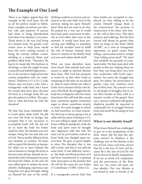## **The Example of Our Lord**

There is no higher appeal than the example of the Lord Jesus. He left us all the perfect model to follow. Jesus' example can inform our identity, role, and purpose. If anyone had claim to being disembodied from their true identity, it was Jesus. Think about it; He was God living in a human body. No gender crisis comes close to what Jesus would have felt every waking second of being the eternal, infinite creator dwelling in a material, finite, and problem filled body. "Therefore He had to be made like His brethren in all things, so that He might become a merciful and faithful high priest… for we do not have a high priest who cannot sympathize with our weaknesses" (Hebrews 2:17; 4:15). I, Luke Moyer, may not have a clue what a transgender really feels, but I know for certain that Jesus does. Because He lived in a foreign body, He can give the pattern to follow. The question is, what did Jesus do with His situation?

We find that Jesus submitted fully to God's plans (John 8:28). He did not treat His body as foreign, but accepted that it was necessary to accomplish God's will. He did not try to resist the body the Father made for Him. His identity was very unique, being the one and only son of God. This is starkly different from our situation as creation. Yet Jesus still accepted His identity as human. He didn't try to leave behind His role as human or change His body to become more divine. Instead, he endured the trials of humanity because He loved the Father. In the end, He was called upon to endure the most identity challenging experience any being has ever gone through: taking on Himself the sins of the world.

Nothing could be so inverse and unnatural as the only Holy God of the universe taking sin upon Himself. Jesus' flesh did not want to do this. He prayed for a way out. It would have been quite convenient to identify as God rather than man in this moment. It would have been preserving and fulfilling to transition so that He wouldn't need to fulfill the role of human. Instead, Jesus chose to remain in His fleshly body as it was and endure death itself.

What can trans identifiers learn from Jesus? That nobody had more reason to adapt to internal identity than Jesus. That God has purposes in mind for us that often entail us remaining in the state we are placed in. That we must submit our wills to God's. Every human will face the desires of the flesh: the struggle that the body has in disparity with the mind. Sometimes this will look like sexual lusts, sometimes apathy, sometimes anger or abuse, sometimes anxiety or crisis. For each struggle in which we find ourselves, we must remember that lust is always going to be at odds with the spirit (Galatians 5:17). It is our calling to apply self control. From a Biblical standpoint, both the body and spirit must be brought into alignment with His will. We must not let perversions control us. Jesus' body was changed upon resurrection. He goes to great lengths to show His disciples that it was still a body, and that it was still the same body. It was different, however. The flesh and blood portion of it had been 'transitioned' to a spiritual state. Jesus gives us the promise that He will do the same for our bodies (1 Corinthians 15:50ff; 1 John 3:2).

If a transgender person feels that

their bodies are corrupted or misplaced, are they willing to let the creator Himself change them at the resurrection? The promise of resurrection is for those who honor His will in their lives. This takes patience and suffering. But the final reward will always be greater than what we forgo in this body (Mark 10:28ff). As a note to transgender opponents, no good comes from telling a persecuted mind to simply "stop feeling persecuted!" We must first establish the grounds of scriptural reality. We then must deal with people as they are, helping them see how they can bring their own lives into conformity with God's expectations. For some, the struggle may pass. For others, the persecution of gender crisis may continue every day of their lives. My concern is not to rid people of struggles, but to assist their burden as they walk in a manner worthy of the gospel. How can a person conflicted with gender disphoria possibly be expected to continually live in struggle between body and mind? By focusing on true identity.

#### **Where is our identity found?**

When Jesus Himself was challenged to give in to the temptations of the flesh, where did He find His ultimate answer? In Matthew 4, the challenge was on His identity as the Son of God. Jesus, each time, proves that He is the Son of God, and because He is the Son of God He will not be driven by fleshly temptations. If we are to avoid evil, temptation, and the perversions of the flesh, then we, too, must call upon our true identity. Our true Identity is not found in male or female at all,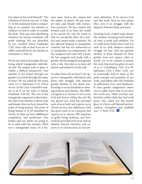but rather in the Lord Himself! "The Children of God do not sin" (1 John 3). In this statement John is compelling us to consider our identity as children of God in order to combat the flesh. Paul says that identifying ourselves by human standards will profit nothing. We are identified by our crucified Savior (Galatians 2:20). Peter tells us that if we are to suffer, it should be for our identity as Christians (1 Peter 4).

We do not wish to downplay the suffering which transgender individuals feel. We simply wish to place it within a Biblical perspective. Our identity is not found through our gender; it is found through the name of Jesus. We are called by His name (Acts 15:17; Ephesians 3:15). When we are 'in the Lord' it shouldn't matter to us if we are male or female (Galatians 3:26-28). The core of the transgender argument is about identity. But if our identity is about male and female, then we have missed the point of being human. The point of being human is to be identified by Christ. In Him we have fulfillment, completion, and perfection. Our bodies and our spirits are going to be at odds with one another. That's not a transgender issue; it's a human issue. God is the creator and the author of nature. He has created male and female with meticulous precision. He has created and formed each of us from the womb to be exactly the way He wants so that we can glorify Him. He is perfect and cannot make a mistake. He has allowed humans to manipulate creation, but has not authorized us to manipulate our assignments. He has assigned each soul with a body. He has assigned each body with a gender. He has assigned each gender with a role. Our duty is to deny self desires and submit to God's will.

So what choice do we have? Our appeal to transgender individuals and those who struggle with internal gender identity is not about conforming to social standards or denying purpose and identity. The Biblical appeal is to choose to serve your God and Savior within the role He has placed you. God has provided each of us a body and expects us to choose service over selfishness. God has given each of us a purpose and expects us to choose HIS purposes of godly living, holiness, and love. God has provided each of us with an identity beyond ourselves and expects us to choose Jesus as our primary definition. If we choose God and His work, then we may please Him even if we struggle with the disparity between flesh and spirit.

Denying God's created order denies His wisdom. Denying God's intended roles is pride and rebellion. Do we really know better than God? Let each of us, with whatever internal struggle we face, find our greatest identity in Jesus Himself. In Him, gender does not impact value or worth. Let us be content to pursue the work that God has given to each of us (1 Corinthians 7:20; 12:4-30; Ephesians 2:10; 1 Peter 4:10). Let us continually look to Jesus as the great example and guardian of our souls, and follow after His footsteps in selflessness, love, and obedience. If your gender assignment causes you to suffer, know that if you do it the Lord's way: "After you have suffered for a little while, the God of all grace, who called you His eternal glory in Christ, will Himself perfect, confirm, strengthen and establish you." (1 Peter 5:10)

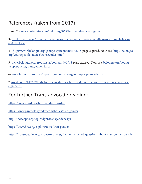## References (taken from 2017):

1 and 2 -www.marieclaire.com/culture/g3065/transgender-facts-figures

3- thinkprogress.org/the-american-transgender-population-is-larger-than-we-thought-it-wasab83126f33a

4 - http://www.belongto.org/group.aspx?contentid=2918 page expired. Now see: http://belongto. org/youngpeople/advice/transgender-info/

5- www.belongto.org/group.aspx?contentid=2918 page expired. Now see: belongto.org/youngpeople/advice/transgender-info/

6- www.hrc.org/resources/reporting-about-transgender-people-read-this

7-wqad.com/2017/07/05/baby-in-canada-may-be-worlds-first-person-to-have-no-gender-assignment/

## For further Trans advocate reading:

https://www.glaad.org/transgender/transfaq

https://www.psychologytoday.com/basics/transgender

http://www.apa.org/topics/lgbt/transgender.aspx

https://www.hrc.org/explore/topic/transgender

https://transequality.org/issues/resources/frequently-asked-questions-about-transgender-people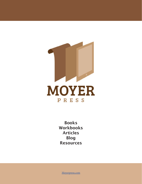

**Books Workbooks Articles Blog Resources** 

Moyerpress.com